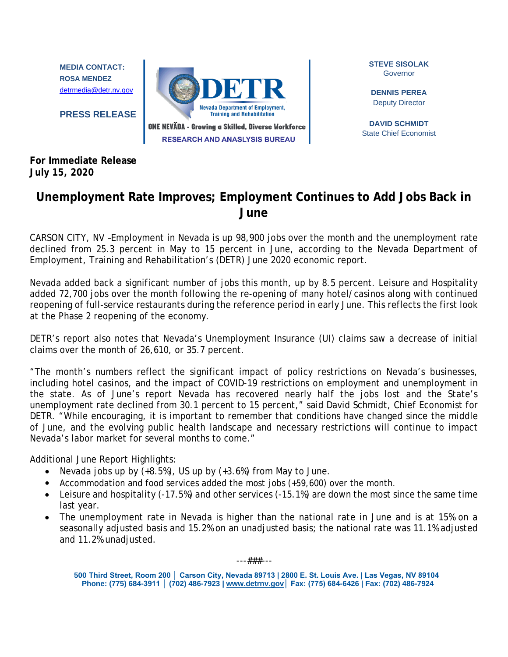**MEDIA CONTACT: ROSA MENDEZ** [detrmedia@detr.nv.gov](mailto:detrmedia@detr.nv.gov)

**PRESS RELEASE**



**STEVE SISOLAK** Governor

**DENNIS PEREA** Deputy Director

**DAVID SCHMIDT** State Chief Economist

**For Immediate Release July 15, 2020**

## **Unemployment Rate Improves; Employment Continues to Add Jobs Back in June**

CARSON CITY, NV –Employment in Nevada is up 98,900 jobs over the month and the unemployment rate declined from 25.3 percent in May to 15 percent in June, according to the Nevada Department of Employment, Training and Rehabilitation's (DETR) June 2020 economic report.

Nevada added back a significant number of jobs this month, up by 8.5 percent. Leisure and Hospitality added 72,700 jobs over the month following the re-opening of many hotel/casinos along with continued reopening of full-service restaurants during the reference period in early June. This reflects the first look at the Phase 2 reopening of the economy.

DETR's report also notes that Nevada's Unemployment Insurance (UI) claims saw a decrease of initial claims over the month of 26,610, or 35.7 percent.

"The month's numbers reflect the significant impact of policy restrictions on Nevada's businesses, including hotel casinos, and the impact of COVID-19 restrictions on employment and unemployment in the state. As of June's report Nevada has recovered nearly half the jobs lost and the State's unemployment rate declined from 30.1 percent to 15 percent," said David Schmidt, Chief Economist for DETR. "While encouraging, it is important to remember that conditions have changed since the middle of June, and the evolving public health landscape and necessary restrictions will continue to impact Nevada's labor market for several months to come."

Additional June Report Highlights:

- Nevada jobs up by  $(+8.5%)$ , US up by  $(+3.6%)$  from May to June.
- Accommodation and food services added the most jobs (+59,600) over the month.
- Leisure and hospitality (-17.5%) and other services (-15.1%) are down the most since the same time last year.
- The unemployment rate in Nevada is higher than the national rate in June and is at 15% on a seasonally adjusted basis and 15.2% on an unadjusted basis; the national rate was 11.1% adjusted and 11.2% unadjusted.

---###---

**500 Third Street, Room 200 │ Carson City, Nevada 89713 | 2800 E. St. Louis Ave. | Las Vegas, NV 89104 Phone: (775) 684-3911 │ (702) 486-7923 | www.detrnv.gov│ Fax: (775) 684-6426 | Fax: (702) 486-7924**